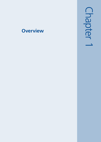# **Overview**

Chapter  $\overline{\phantom{0}}$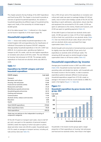This chapter presents the key findings of the 2007 Expenditure and Food Survey (EFS). The chapter is structured to provide an overview of general household expenditure, the variation in household expenditure by different types of household and by region and, finally, of the ownership of a limited range of durable goods.

All of the tables (except Table 1.1) referred to in this chapter can be found in Appendix A of the report (page 79).

## **Household expenditure**

Table 1.1 shows total weekly household expenditure in the United Kingdom (UK) and expenditure by the Classification of Individual COnsumption by Purpose (COICOP)<sup>1</sup> categories. Average weekly household expenditure in the UK in 2007 was £459.20. As in previous years, spending was highest on transport at £61.70 a week, with the next highest expenditure on recreation and culture at £57.40 a week. This was followed by housing, fuel and power at £51.80. The average weekly expenditure on food and non-alcoholic drinks was £48.10 a week.

#### Table 1.1

#### Expenditure by COICOP category and total household expenditure

| <b>COICOP category</b>                  | £ per week |
|-----------------------------------------|------------|
| Transport                               | 61.70      |
| Recreation and culture                  | 57.40      |
| Housing, fuel and power                 | 51.80      |
| Food and non-alcoholic drinks           | 48.10      |
| <b>Restaurants and hotels</b>           | 37.20      |
| Miscellaneous goods and services        | 35.30      |
| Household goods and services            | 30.70      |
| Clothing and footwear                   | 22.00      |
| Communication                           | 11.90      |
| Alcoholic drinks, tobacco and narcotics | 11.20      |
| Education                               | 6.80       |
| Health                                  | 5.70       |
| Total COICOP expenditure                | 379.80     |
| Other expenditure items                 | 79.30      |
| Total expenditure                       | 459.20     |

*Totals may not add due to the independent rounding of component categories*

Of the £61.70 spent on transport each week, close to half (47 per cent), was spent on the operation of personal transport (£28.80 a week) the majority of which was spent on petrol, diesel and other motor oils (£18.30 a week). Households spent £10.10 a week on average on transport services, including rail, tube and bus fares (see Table A1).

Over a fifth (23 per cent) of the expenditure on recreation and culture each week was spent on package holidays (£13.40 per week), most of which were holidays outside of the UK (£12.50). Spending on sports admissions, subscriptions, leisure class fees and equipment hire accounted for £5.20 a week, £2.00 was spent on admissions to the cinema, theatre and museums, and £3.00 was spent on gambling payments (Table A1).

Of the £48.10 spent on food and non-alcoholic drinks each week, £12.80 was spent on meat, £3.70 on fresh vegetables, £3.00 on fresh fruit, and £4.00 on non-alcoholic drinks (Table A1). Over two thirds (£33.20 per week, 69 per cent) of food and non-alcoholic drinks were purchased from large supermarket chains (Table A3).

Alcohol bought and consumed on licensed premises accounted for slightly more than half (£8.00, 55 per cent) of all expenditure on alcoholic drink (£14.60 per week). The remaining £6.60 was spent on alcohol bought at large supermarket chains or off-licence outlets (Table A2).

# **Household expenditure by income**

Average gross household income in 2007 was £659 a week (Table A40). Household incomes have been ranked in ascending order and divided into deciles, with households with the lowest income in the first decile, in order to examine expenditure patterns between different income groups. Household expenditure ranged from £172.40 a week on average in the lowest of the ten income deciles to £986.70 a week in the highest (Figure 1.1, Table A6).

#### Figure 1.1

#### Household expenditure by gross income decile group, 2007



Households in the lowest income groups spent a larger proportion of their expenditure on housing, fuel and power, and food and non-alcoholic drinks, than those in the higher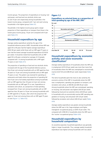income groups. The proportion of expenditure on housing, fuel and power, and food and non-alcoholic drinks was 22 and 14 per cent respectively among households in the lowest income group, compared with 7 per cent each among households in the highest group (Table A7).

Households in the highest income group spent a larger proportion of their expenditure on transport than those in the lowest gross income group, 16 per cent compared with 9 per cent (Table A7).

## **Household expenditure by age**

Average weekly expenditure varied by the age of the household reference person (HRP). Households whose HRP was aged 30 to 49 years had the highest average expenditure (£561.90 per week) while those with an HRP aged 75 years or over had the lowest average household expenditure (£218.00 per week). It should be noted that households with an HRP aged 30 to 49 years contained an average of 2.9 people, compared with 1.4 among households with a HRP aged 75 years or over (Table A11).

The proportion of spending on food and non-alcoholic drinks increased with the age of the household reference person, from 8 per cent among households with an HRP aged less than 30 years to 15 per cent among households with an HRP aged 75 years or over. The pattern was reversed for spending on restaurants and hotels where the proportion of spending fell from 9 per cent of all weekly expenditure among households with an HRP aged less than 30 years to 6 per cent among households with an HRP aged 75 or over. Expenditure on recreation and culture, as a proportion of total spending, increased from 10 per cent among households with an HRP aged less than 30 years to 16 per cent among households with an HRP aged 65 to 74 years, after which the proportion fell again to 13 per cent among those with an HRP aged 75 years or over (Figure 1.2, Table A12).

#### Figure 1.2

#### Expenditure on selected items as a proportion of total spending by age of the HRP, 2007



### **Household expenditure by economic activity and socio-economic classification2**

Average weekly expenditure of households where the HRP was in employment (£574.30 per week) was more than twice that of households where the HRP was unemployed or economically inactive (£227.40 and £286.90 per week respectively) (Table A19).

The items households spent the most on also varied by the economic activity of the HRP. In households where the HRP was in employment, spending was greatest on transport, and recreation and culture, at £80.80 and £69.30 per week. Among households where the HRP was unemployed, spending on housing, fuel and power was highest (£43.00 per week) followed by food and non-alcoholic drinks (£30.90 per week). In households with an economically inactive HRP, spending was greatest on housing, fuel and power (£41.20 per week) followed by recreation and culture (£40.20 per week) (Table A19).

Average weekly expenditure was greater among households where the HRP was in the 'large employers and higher managerial' occupational group, at £816.10 per week. This compared with £396.90 in households where the HRP was in the 'routine' occupational group (Table A24).

## **Household expenditure by household composition**

As would be expected, household expenditure was generally higher in larger households. Thus, average weekly household expenditure was highest among households with two adults